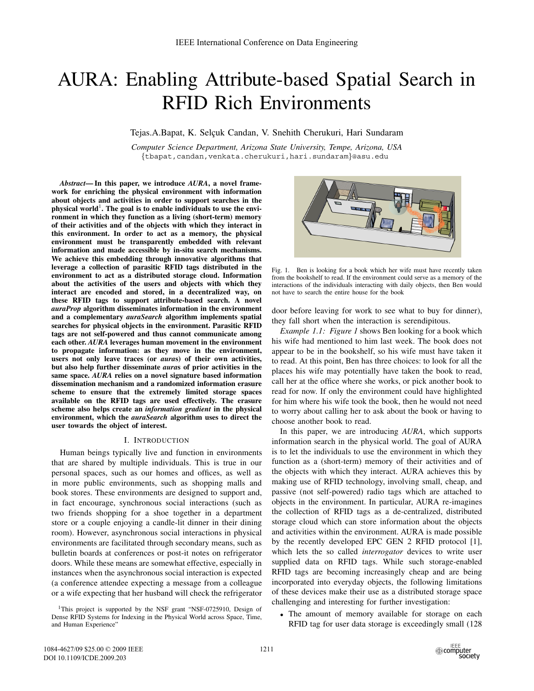# AURA: Enabling Attribute-based Spatial Search in RFID Rich Environments

# Tejas.A.Bapat, K. Selçuk Candan, V. Snehith Cherukuri, Hari Sundaram

*Computer Science Department, Arizona State University, Tempe, Arizona, USA {*tbapat,candan,venkata.cherukuri,hari.sundaram*}*@asu.edu

*Abstract***— In this paper, we introduce** *AURA***, a novel framework for enriching the physical environment with information about objects and activities in order to support searches in the** physical world<sup>1</sup>. The goal is to enable individuals to use the envi**ronment in which they function as a living (short-term) memory of their activities and of the objects with which they interact in this environment. In order to act as a memory, the physical environment must be transparently embedded with relevant information and made accessible by in-situ search mechanisms. We achieve this embedding through innovative algorithms that leverage a collection of parasitic RFID tags distributed in the environment to act as a distributed storage cloud. Information about the activities of the users and objects with which they interact are encoded and stored, in a decentralized way, on these RFID tags to support attribute-based search. A novel** *auraProp* **algorithm disseminates information in the environment and a complementary** *auraSearch* **algorithm implements spatial searches for physical objects in the environment. Parasitic RFID tags are not self-powered and thus cannot communicate among each other.** *AURA* **leverages human movement in the environment to propagate information: as they move in the environment, users not only leave traces (or** *aura***s) of their own activities, but also help further disseminate** *aura***s of prior activities in the same space.** *AURA* **relies on a novel signature based information dissemination mechanism and a randomized information erasure scheme to ensure that the extremely limited storage spaces available on the RFID tags are used effectively. The erasure scheme also helps create an** *information gradient* **in the physical environment, which the** *auraSearch* **algorithm uses to direct the user towards the object of interest.**

### I. INTRODUCTION

Human beings typically live and function in environments that are shared by multiple individuals. This is true in our personal spaces, such as our homes and offices, as well as in more public environments, such as shopping malls and book stores. These environments are designed to support and, in fact encourage, synchronous social interactions (such as two friends shopping for a shoe together in a department store or a couple enjoying a candle-lit dinner in their dining room). However, asynchronous social interactions in physical environments are facilitated through secondary means, such as bulletin boards at conferences or post-it notes on refrigerator doors. While these means are somewhat effective, especially in instances when the asynchronous social interaction is expected (a conference attendee expecting a message from a colleague or a wife expecting that her husband will check the refrigerator



Fig. 1. Ben is looking for a book which her wife must have recently taken from the bookshelf to read. If the environment could serve as a memory of the interactions of the individuals interacting with daily objects, then Ben would not have to search the entire house for the book

door before leaving for work to see what to buy for dinner), they fall short when the interaction is serendipitous.

*Example 1.1: Figure 1* shows Ben looking for a book which his wife had mentioned to him last week. The book does not appear to be in the bookshelf, so his wife must have taken it to read. At this point, Ben has three choices: to look for all the places his wife may potentially have taken the book to read, call her at the office where she works, or pick another book to read for now. If only the environment could have highlighted for him where his wife took the book, then he would not need to worry about calling her to ask about the book or having to choose another book to read.

In this paper, we are introducing *AURA*, which supports information search in the physical world. The goal of AURA is to let the individuals to use the environment in which they function as a (short-term) memory of their activities and of the objects with which they interact. AURA achieves this by making use of RFID technology, involving small, cheap, and passive (not self-powered) radio tags which are attached to objects in the environment. In particular, AURA re-imagines the collection of RFID tags as a de-centralized, distributed storage cloud which can store information about the objects and activities within the environment. AURA is made possible by the recently developed EPC GEN 2 RFID protocol [1], which lets the so called *interrogator* devices to write user supplied data on RFID tags. While such storage-enabled RFID tags are becoming increasingly cheap and are being incorporated into everyday objects, the following limitations of these devices make their use as a distributed storage space challenging and interesting for further investigation:

• The amount of memory available for storage on each RFID tag for user data storage is exceedingly small (128

<sup>&</sup>lt;sup>1</sup>This project is supported by the NSF grant "NSF-0725910, Design of Dense RFID Systems for Indexing in the Physical World across Space, Time, and Human Experience"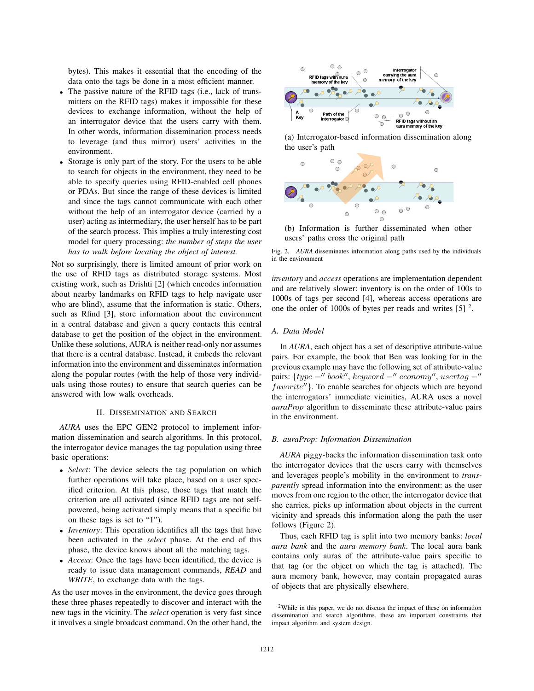bytes). This makes it essential that the encoding of the data onto the tags be done in a most efficient manner.

- The passive nature of the RFID tags (i.e., lack of transmitters on the RFID tags) makes it impossible for these devices to exchange information, without the help of an interrogator device that the users carry with them. In other words, information dissemination process needs to leverage (and thus mirror) users' activities in the environment.
- Storage is only part of the story. For the users to be able to search for objects in the environment, they need to be able to specify queries using RFID-enabled cell phones or PDAs. But since the range of these devices is limited and since the tags cannot communicate with each other without the help of an interrogator device (carried by a user) acting as intermediary, the user herself has to be part of the search process. This implies a truly interesting cost model for query processing: *the number of steps the user has to walk before locating the object of interest.*

Not so surprisingly, there is limited amount of prior work on the use of RFID tags as distributed storage systems. Most existing work, such as Drishti [2] (which encodes information about nearby landmarks on RFID tags to help navigate user who are blind), assume that the information is static. Others, such as Rfind [3], store information about the environment in a central database and given a query contacts this central database to get the position of the object in the environment. Unlike these solutions, AURA is neither read-only nor assumes that there is a central database. Instead, it embeds the relevant information into the environment and disseminates information along the popular routes (with the help of those very individuals using those routes) to ensure that search queries can be answered with low walk overheads.

# II. DISSEMINATION AND SEARCH

*AURA* uses the EPC GEN2 protocol to implement information dissemination and search algorithms. In this protocol, the interrogator device manages the tag population using three basic operations:

- *Select*: The device selects the tag population on which further operations will take place, based on a user specified criterion. At this phase, those tags that match the criterion are all activated (since RFID tags are not selfpowered, being activated simply means that a specific bit on these tags is set to "1").
- *Inventory*: This operation identifies all the tags that have been activated in the *select* phase. At the end of this phase, the device knows about all the matching tags.
- *Access*: Once the tags have been identified, the device is ready to issue data management commands, *READ* and *WRITE*, to exchange data with the tags.

As the user moves in the environment, the device goes through these three phases repeatedly to discover and interact with the new tags in the vicinity. The *select* operation is very fast since it involves a single broadcast command. On the other hand, the



(a) Interrogator-based information dissemination along the user's path



(b) Information is further disseminated when other users' paths cross the original path



*inventory* and *access* operations are implementation dependent and are relatively slower: inventory is on the order of 100s to 1000s of tags per second [4], whereas access operations are one the order of 1000s of bytes per reads and writes  $[5]$ <sup>2</sup>.

#### *A. Data Model*

In *AURA*, each object has a set of descriptive attribute-value pairs. For example, the book that Ben was looking for in the previous example may have the following set of attribute-value  $\text{pairs: } \{type = "book", keyword = "economy", usertag ="$ favorite" }. To enable searches for objects which are beyond the interrogators' immediate vicinities, AURA uses a novel *auraProp* algorithm to disseminate these attribute-value pairs in the environment.

#### *B. auraProp: Information Dissemination*

*AURA* piggy-backs the information dissemination task onto the interrogator devices that the users carry with themselves and leverages people's mobility in the environment to *transparently* spread information into the environment: as the user moves from one region to the other, the interrogator device that she carries, picks up information about objects in the current vicinity and spreads this information along the path the user follows (Figure 2).

Thus, each RFID tag is split into two memory banks: *local aura bank* and the *aura memory bank*. The local aura bank contains only auras of the attribute-value pairs specific to that tag (or the object on which the tag is attached). The aura memory bank, however, may contain propagated auras of objects that are physically elsewhere.

<sup>2</sup>While in this paper, we do not discuss the impact of these on information dissemination and search algorithms, these are important constraints that impact algorithm and system design.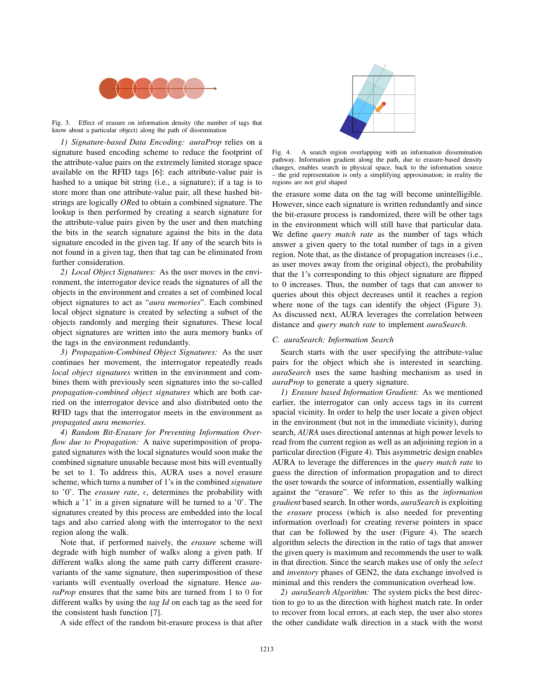

Fig. 3. Effect of erasure on information density (the number of tags that know about a particular object) along the path of dissemination

*1) Signature-based Data Encoding: auraProp* relies on a signature based encoding scheme to reduce the footprint of the attribute-value pairs on the extremely limited storage space available on the RFID tags [6]: each attribute-value pair is hashed to a unique bit string (i.e., a signature); if a tag is to store more than one attribute-value pair, all these hashed bitstrings are logically *OR*ed to obtain a combined signature. The lookup is then performed by creating a search signature for the attribute-value pairs given by the user and then matching the bits in the search signature against the bits in the data signature encoded in the given tag. If any of the search bits is not found in a given tag, then that tag can be eliminated from further consideration.

*2) Local Object Signatures:* As the user moves in the environment, the interrogator device reads the signatures of all the objects in the environment and creates a set of combined local object signatures to act as "*aura memories*". Each combined local object signature is created by selecting a subset of the objects randomly and merging their signatures. These local object signatures are written into the aura memory banks of the tags in the environment redundantly.

*3) Propagation-Combined Object Signatures:* As the user continues her movement, the interrogator repeatedly reads *local object signatures* written in the environment and combines them with previously seen signatures into the so-called *propagation-combined object signatures* which are both carried on the interrogator device and also distributed onto the RFID tags that the interrogator meets in the environment as *propagated aura memories*.

*4) Random Bit-Erasure for Preventing Information Overflow due to Propagation:* A naive superimposition of propagated signatures with the local signatures would soon make the combined signature unusable because most bits will eventually be set to 1. To address this, AURA uses a novel erasure scheme, which turns a number of 1's in the combined *signature* to '0'. The *erasure rate*,  $\epsilon$ , determines the probability with which a '1' in a given signature will be turned to a '0'. The signatures created by this process are embedded into the local tags and also carried along with the interrogator to the next region along the walk.

Note that, if performed naively, the *erasure* scheme will degrade with high number of walks along a given path. If different walks along the same path carry different erasurevariants of the same signature, then superimposition of these variants will eventually overload the signature. Hence *auraProp* ensures that the same bits are turned from 1 to 0 for different walks by using the *tag Id* on each tag as the seed for the consistent hash function [7].

A side effect of the random bit-erasure process is that after



Fig. 4. A search region overlapping with an information dissemination pathway. Information gradient along the path, due to erasure-based density changes, enables search in physical space, back to the information source – the grid representation is only a simplifying approximation; in reality the regions are not grid shaped

the erasure some data on the tag will become unintelligible. However, since each signature is written redundantly and since the bit-erasure process is randomized, there will be other tags in the environment which will still have that particular data. We define *query match rate* as the number of tags which answer a given query to the total number of tags in a given region. Note that, as the distance of propagation increases (i.e., as user moves away from the original object), the probability that the 1's corresponding to this object signature are flipped to 0 increases. Thus, the number of tags that can answer to queries about this object decreases until it reaches a region where none of the tags can identify the object (Figure 3). As discussed next, AURA leverages the correlation between distance and *query match rate* to implement *auraSearch*.

#### *C. auraSearch: Information Search*

Search starts with the user specifying the attribute-value pairs for the object which she is interested in searching. *auraSearch* uses the same hashing mechanism as used in *auraProp* to generate a query signature.

*1) Erasure based Information Gradient:* As we mentioned earlier, the interrogator can only access tags in its current spacial vicinity. In order to help the user locate a given object in the environment (but not in the immediate vicinity), during search, *AURA* uses directional antennas at high power levels to read from the current region as well as an adjoining region in a particular direction (Figure 4). This asymmetric design enables AURA to leverage the differences in the *query match rate* to guess the direction of information propagation and to direct the user towards the source of information, essentially walking against the "erasure". We refer to this as the *information gradient* based search. In other words, *auraSearch* is exploiting the *erasure* process (which is also needed for preventing information overload) for creating reverse pointers in space that can be followed by the user (Figure 4). The search algorithm selects the direction in the ratio of tags that answer the given query is maximum and recommends the user to walk in that direction. Since the search makes use of only the *select* and *inventory* phases of GEN2, the data exchange involved is minimal and this renders the communication overhead low.

*2) auraSearch Algorithm:* The system picks the best direction to go to as the direction with highest match rate. In order to recover from local errors, at each step, the user also stores the other candidate walk direction in a stack with the worst